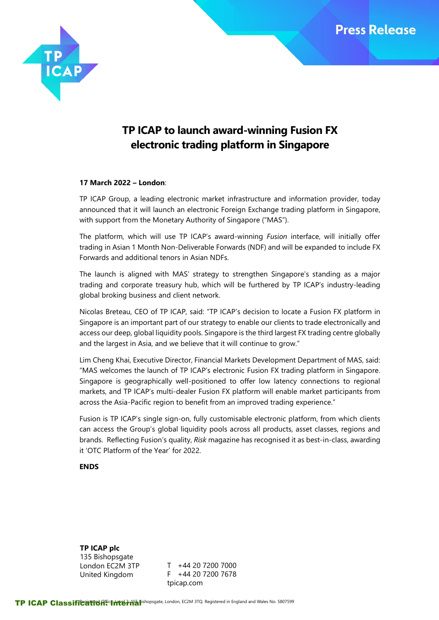

# **TP ICAP to launch award-winning Fusion FX electronic trading platform in Singapore**

## **17 March 2022 – London**:

TP ICAP Group, a leading electronic market infrastructure and information provider, today announced that it will launch an electronic Foreign Exchange trading platform in Singapore, with support from the Monetary Authority of Singapore ("MAS").

The platform, which will use TP ICAP's award-winning *Fusion* interface, will initially offer trading in Asian 1 Month Non-Deliverable Forwards (NDF) and will be expanded to include FX Forwards and additional tenors in Asian NDFs.

The launch is aligned with MAS' strategy to strengthen Singapore's standing as a major trading and corporate treasury hub, which will be furthered by TP ICAP's industry-leading global broking business and client network.

Nicolas Breteau, CEO of TP ICAP, said: "TP ICAP's decision to locate a Fusion FX platform in Singapore is an important part of our strategy to enable our clients to trade electronically and access our deep, global liquidity pools. Singapore is the third largest FX trading centre globally and the largest in Asia, and we believe that it will continue to grow."

Lim Cheng Khai, Executive Director, Financial Markets Development Department of MAS, said: "MAS welcomes the launch of TP ICAP's electronic Fusion FX trading platform in Singapore. Singapore is geographically well-positioned to offer low latency connections to regional markets, and TP ICAP's multi-dealer Fusion FX platform will enable market participants from across the Asia-Pacific region to benefit from an improved trading experience."

Fusion is TP ICAP's single sign-on, fully customisable electronic platform, from which clients can access the Group's global liquidity pools across all products, asset classes, regions and brands. Reflecting Fusion's quality, *Risk* magazine has recognised it as best-in-class, awarding it 'OTC Platform of the Year' for 2022.

## **ENDS**

**TP ICAP plc** 135 Bishopsgate London EC2M 3TP United Kingdom

T +44 20 7200 7000 F +44 20 7200 7678 tpicap.com